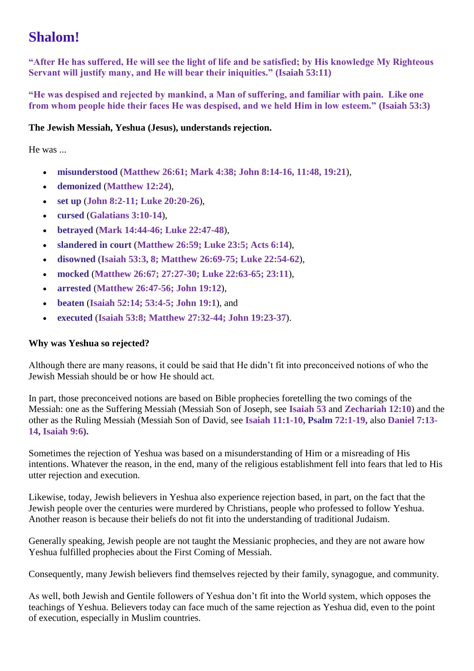# **Shalom!**

**"After He has suffered, He will see the light of life and be satisfied; by His knowledge My Righteous Servant will justify many, and He will bear their iniquities." (Isaiah 53:11)**

**"He was despised and rejected by mankind, a Man of suffering, and familiar with pain. Like one from whom people hide their faces He was despised, and we held Him in low esteem." (Isaiah 53:3)**

## **The Jewish Messiah, Yeshua (Jesus), understands rejection.**

He was ...

- **misunderstood** (**Matthew 26:61; Mark 4:38; John 8:14-16, 11:48, 19:21**),
- **demonized** (**Matthew 12:24**),
- **set up** (**John 8:2-11; Luke 20:20-26**),
- **cursed** (**Galatians 3:10-14**),
- **betrayed** (**Mark 14:44-46; Luke 22:47-48**),
- **slandered in court** (**Matthew 26:59; Luke 23:5; Acts 6:14**),
- **disowned** (**Isaiah 53:3, 8; Matthew 26:69-75; Luke 22:54-62**),
- **mocked** (**Matthew 26:67; 27:27-30; Luke 22:63-65; 23:11**),
- **arrested** (**Matthew 26:47-56; John 19:12**),
- **beaten** (**Isaiah 52:14; 53:4-5; John 19:1**), and
- **executed** (**Isaiah 53:8; Matthew 27:32-44; John 19:23-37**).

# **Why was Yeshua so rejected?**

Although there are many reasons, it could be said that He didn't fit into preconceived notions of who the Jewish Messiah should be or how He should act.

In part, those preconceived notions are based on Bible prophecies foretelling the two comings of the Messiah: one as the Suffering Messiah (Messiah Son of Joseph, see **Isaiah 53** and **Zechariah 12:10**) and the other as the Ruling Messiah (Messiah Son of David, see **Isaiah 11:1-10, Psalm 72:1-19,** also **Daniel 7:13- 14, Isaiah 9:6).**

Sometimes the rejection of Yeshua was based on a misunderstanding of Him or a misreading of His intentions. Whatever the reason, in the end, many of the religious establishment fell into fears that led to His utter rejection and execution.

Likewise, today, Jewish believers in Yeshua also experience rejection based, in part, on the fact that the Jewish people over the centuries were murdered by Christians, people who professed to follow Yeshua. Another reason is because their beliefs do not fit into the understanding of traditional Judaism.

Generally speaking, Jewish people are not taught the Messianic prophecies, and they are not aware how Yeshua fulfilled prophecies about the First Coming of Messiah.

Consequently, many Jewish believers find themselves rejected by their family, synagogue, and community.

As well, both Jewish and Gentile followers of Yeshua don't fit into the World system, which opposes the teachings of Yeshua. Believers today can face much of the same rejection as Yeshua did, even to the point of execution, especially in Muslim countries.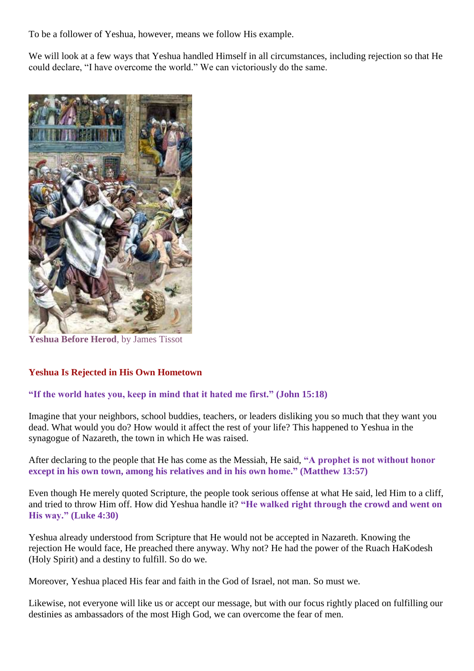To be a follower of Yeshua, however, means we follow His example.

We will look at a few ways that Yeshua handled Himself in all circumstances, including rejection so that He could declare, "I have overcome the world." We can victoriously do the same.



**Yeshua Before Herod**, by James Tissot

### **Yeshua Is Rejected in His Own Hometown**

### **"If the world hates you, keep in mind that it hated me first." (John 15:18)**

Imagine that your neighbors, school buddies, teachers, or leaders disliking you so much that they want you dead. What would you do? How would it affect the rest of your life? This happened to Yeshua in the synagogue of Nazareth, the town in which He was raised.

After declaring to the people that He has come as the Messiah, He said, **"A prophet is not without honor except in his own town, among his relatives and in his own home." (Matthew 13:57)**

Even though He merely quoted Scripture, the people took serious offense at what He said, led Him to a cliff, and tried to throw Him off. How did Yeshua handle it? **"He walked right through the crowd and went on His way." (Luke 4:30)**

Yeshua already understood from Scripture that He would not be accepted in Nazareth. Knowing the rejection He would face, He preached there anyway. Why not? He had the power of the Ruach HaKodesh (Holy Spirit) and a destiny to fulfill. So do we.

Moreover, Yeshua placed His fear and faith in the God of Israel, not man. So must we.

Likewise, not everyone will like us or accept our message, but with our focus rightly placed on fulfilling our destinies as ambassadors of the most High God, we can overcome the fear of men.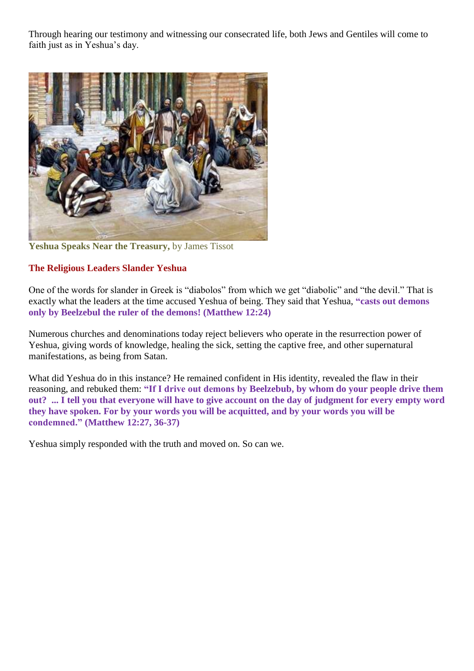Through hearing our testimony and witnessing our consecrated life, both Jews and Gentiles will come to faith just as in Yeshua's day.



**Yeshua Speaks Near the Treasury,** by James Tissot

## **The Religious Leaders Slander Yeshua**

One of the words for slander in Greek is "diabolos" from which we get "diabolic" and "the devil." That is exactly what the leaders at the time accused Yeshua of being. They said that Yeshua, **"casts out demons only by Beelzebul the ruler of the demons! (Matthew 12:24)**

Numerous churches and denominations today reject believers who operate in the resurrection power of Yeshua, giving words of knowledge, healing the sick, setting the captive free, and other supernatural manifestations, as being from Satan.

What did Yeshua do in this instance? He remained confident in His identity, revealed the flaw in their reasoning, and rebuked them: **"If I drive out demons by Beelzebub, by whom do your people drive them out? ... I tell you that everyone will have to give account on the day of judgment for every empty word they have spoken. For by your words you will be acquitted, and by your words you will be condemned." (Matthew 12:27, 36-37)**

Yeshua simply responded with the truth and moved on. So can we.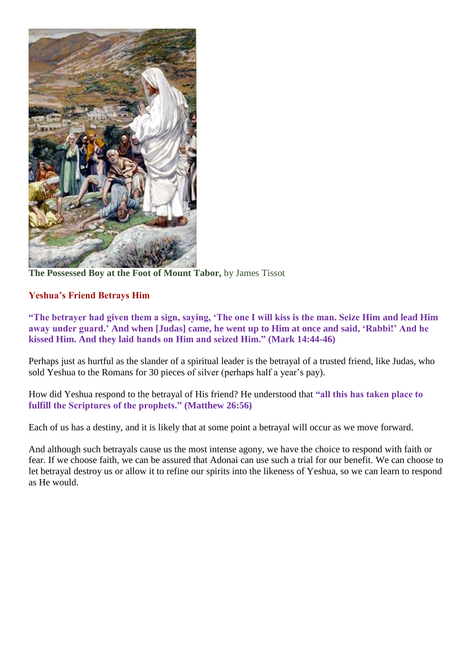

**The Possessed Boy at the Foot of Mount Tabor,** by James Tissot

# **Yeshua's Friend Betrays Him**

**"The betrayer had given them a sign, saying, 'The one I will kiss is the man. Seize Him and lead Him away under guard.' And when [Judas] came, he went up to Him at once and said, 'Rabbi!' And he kissed Him. And they laid hands on Him and seized Him." (Mark 14:44-46)**

Perhaps just as hurtful as the slander of a spiritual leader is the betrayal of a trusted friend, like Judas, who sold Yeshua to the Romans for 30 pieces of silver (perhaps half a year's pay).

How did Yeshua respond to the betrayal of His friend? He understood that **"all this has taken place to fulfill the Scriptures of the prophets." (Matthew 26:56)**

Each of us has a destiny, and it is likely that at some point a betrayal will occur as we move forward.

And although such betrayals cause us the most intense agony, we have the choice to respond with faith or fear. If we choose faith, we can be assured that Adonai can use such a trial for our benefit. We can choose to let betrayal destroy us or allow it to refine our spirits into the likeness of Yeshua, so we can learn to respond as He would.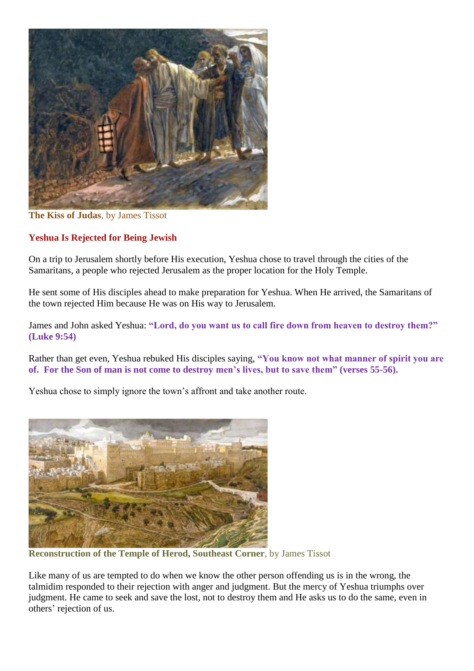

**The Kiss of Judas**, by James Tissot

## **Yeshua Is Rejected for Being Jewish**

On a trip to Jerusalem shortly before His execution, Yeshua chose to travel through the cities of the Samaritans, a people who rejected Jerusalem as the proper location for the Holy Temple.

He sent some of His disciples ahead to make preparation for Yeshua. When He arrived, the Samaritans of the town rejected Him because He was on His way to Jerusalem.

James and John asked Yeshua: **"Lord, do you want us to call fire down from heaven to destroy them?" (Luke 9:54)**

Rather than get even, Yeshua rebuked His disciples saying, **"You know not what manner of spirit you are of. For the Son of man is not come to destroy men's lives, but to save them" (verses 55-56).**

Yeshua chose to simply ignore the town's affront and take another route.



**Reconstruction of the Temple of Herod, Southeast Corner**, by James Tissot

Like many of us are tempted to do when we know the other person offending us is in the wrong, the talmidim responded to their rejection with anger and judgment. But the mercy of Yeshua triumphs over judgment. He came to seek and save the lost, not to destroy them and He asks us to do the same, even in others' rejection of us.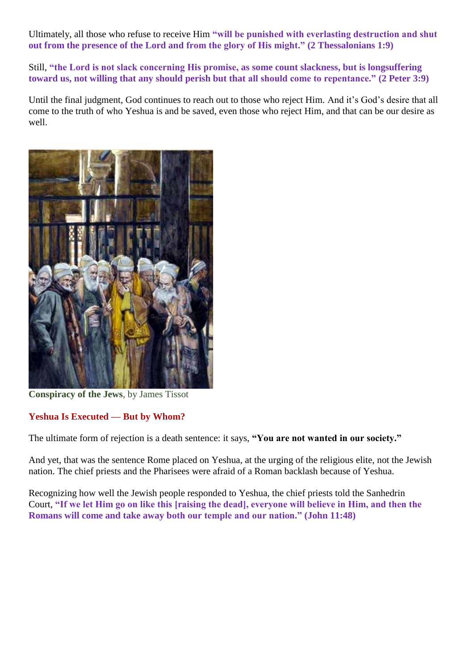Ultimately, all those who refuse to receive Him **"will be punished with everlasting destruction and shut out from the presence of the Lord and from the glory of His might." (2 Thessalonians 1:9)**

Still, **"the Lord is not slack concerning His promise, as some count slackness, but is longsuffering toward us, not willing that any should perish but that all should come to repentance." (2 Peter 3:9)**

Until the final judgment, God continues to reach out to those who reject Him. And it's God's desire that all come to the truth of who Yeshua is and be saved, even those who reject Him, and that can be our desire as well.



**Conspiracy of the Jews**, by James Tissot

# **Yeshua Is Executed — But by Whom?**

The ultimate form of rejection is a death sentence: it says, **"You are not wanted in our society."**

And yet, that was the sentence Rome placed on Yeshua, at the urging of the religious elite, not the Jewish nation. The chief priests and the Pharisees were afraid of a Roman backlash because of Yeshua.

Recognizing how well the Jewish people responded to Yeshua, the chief priests told the Sanhedrin Court, **"If we let Him go on like this [raising the dead], everyone will believe in Him, and then the Romans will come and take away both our temple and our nation." (John 11:48)**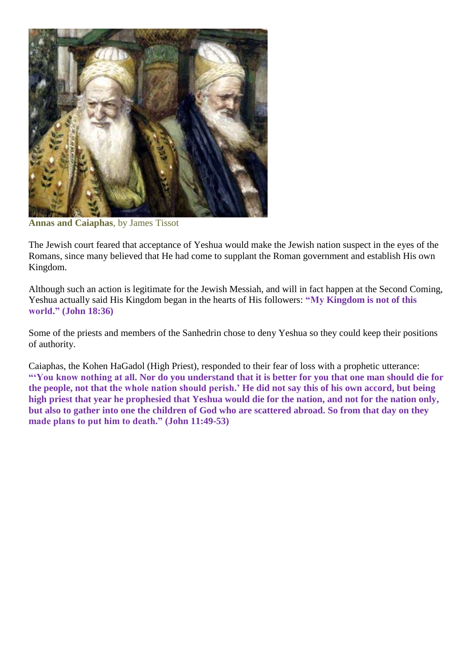

**Annas and Caiaphas**, by James Tissot

The Jewish court feared that acceptance of Yeshua would make the Jewish nation suspect in the eyes of the Romans, since many believed that He had come to supplant the Roman government and establish His own Kingdom.

Although such an action is legitimate for the Jewish Messiah, and will in fact happen at the Second Coming, Yeshua actually said His Kingdom began in the hearts of His followers: **"My Kingdom is not of this world." (John 18:36)**

Some of the priests and members of the Sanhedrin chose to deny Yeshua so they could keep their positions of authority.

Caiaphas, the Kohen HaGadol (High Priest), responded to their fear of loss with a prophetic utterance: **"'You know nothing at all. Nor do you understand that it is better for you that one man should die for the people, not that the whole nation should perish.' He did not say this of his own accord, but being high priest that year he prophesied that Yeshua would die for the nation, and not for the nation only, but also to gather into one the children of God who are scattered abroad. So from that day on they made plans to put him to death." (John 11:49-53)**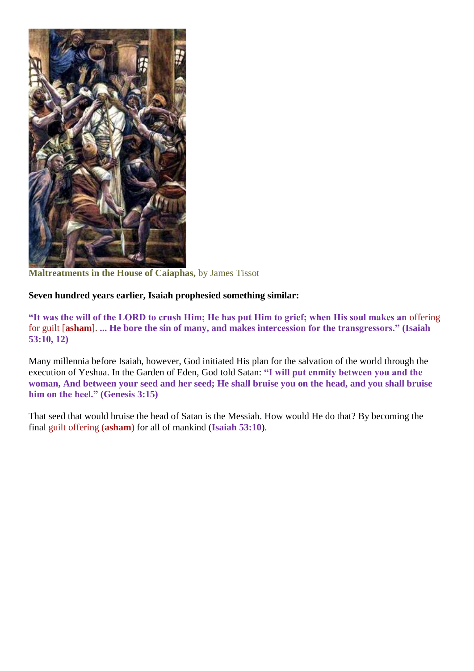

**Maltreatments in the House of Caiaphas,** by James Tissot

### **Seven hundred years earlier, Isaiah prophesied something similar:**

**"It was the will of the LORD to crush Him; He has put Him to grief; when His soul makes an** offering for guilt [**asham**]. **... He bore the sin of many, and makes intercession for the transgressors." (Isaiah 53:10, 12)**

Many millennia before Isaiah, however, God initiated His plan for the salvation of the world through the execution of Yeshua. In the Garden of Eden, God told Satan: **"I will put enmity between you and the woman, And between your seed and her seed; He shall bruise you on the head, and you shall bruise him on the heel." (Genesis 3:15)**

That seed that would bruise the head of Satan is the Messiah. How would He do that? By becoming the final guilt offering (**asham**) for all of mankind (**Isaiah 53:10**).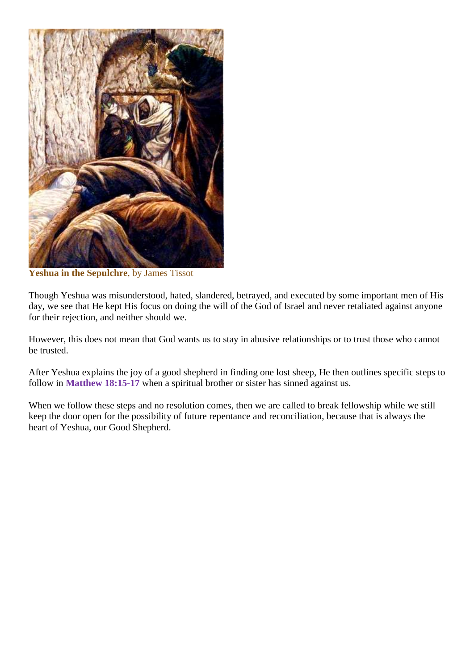

**Yeshua in the Sepulchre**, by James Tissot

Though Yeshua was misunderstood, hated, slandered, betrayed, and executed by some important men of His day, we see that He kept His focus on doing the will of the God of Israel and never retaliated against anyone for their rejection, and neither should we.

However, this does not mean that God wants us to stay in abusive relationships or to trust those who cannot be trusted.

After Yeshua explains the joy of a good shepherd in finding one lost sheep, He then outlines specific steps to follow in **Matthew 18:15-17** when a spiritual brother or sister has sinned against us.

When we follow these steps and no resolution comes, then we are called to break fellowship while we still keep the door open for the possibility of future repentance and reconciliation, because that is always the heart of Yeshua, our Good Shepherd.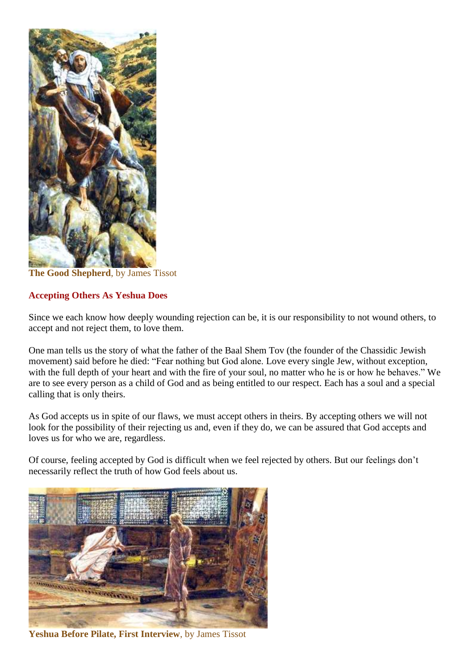

**The Good Shepherd**, by James Tissot

## **Accepting Others As Yeshua Does**

Since we each know how deeply wounding rejection can be, it is our responsibility to not wound others, to accept and not reject them, to love them.

One man tells us the story of what the father of the Baal Shem Tov (the founder of the Chassidic Jewish movement) said before he died: "Fear nothing but God alone. Love every single Jew, without exception, with the full depth of your heart and with the fire of your soul, no matter who he is or how he behaves." We are to see every person as a child of God and as being entitled to our respect. Each has a soul and a special calling that is only theirs.

As God accepts us in spite of our flaws, we must accept others in theirs. By accepting others we will not look for the possibility of their rejecting us and, even if they do, we can be assured that God accepts and loves us for who we are, regardless.

Of course, feeling accepted by God is difficult when we feel rejected by others. But our feelings don't necessarily reflect the truth of how God feels about us.



**Yeshua Before Pilate, First Interview**, by James Tissot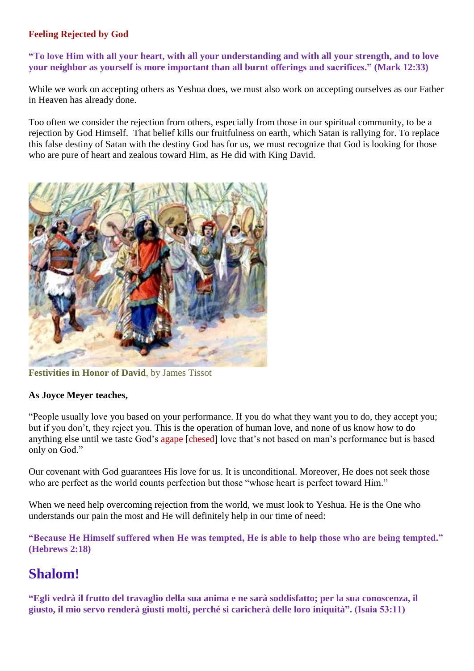## **Feeling Rejected by God**

### **"To love Him with all your heart, with all your understanding and with all your strength, and to love your neighbor as yourself is more important than all burnt offerings and sacrifices." (Mark 12:33)**

While we work on accepting others as Yeshua does, we must also work on accepting ourselves as our Father in Heaven has already done.

Too often we consider the rejection from others, especially from those in our spiritual community, to be a rejection by God Himself. That belief kills our fruitfulness on earth, which Satan is rallying for. To replace this false destiny of Satan with the destiny God has for us, we must recognize that God is looking for those who are pure of heart and zealous toward Him, as He did with King David.



**Festivities in Honor of David**, by James Tissot

### **As Joyce Meyer teaches,**

"People usually love you based on your performance. If you do what they want you to do, they accept you; but if you don't, they reject you. This is the operation of human love, and none of us know how to do anything else until we taste God's agape [chesed] love that's not based on man's performance but is based only on God."

Our covenant with God guarantees His love for us. It is unconditional. Moreover, He does not seek those who are perfect as the world counts perfection but those "whose heart is perfect toward Him."

When we need help overcoming rejection from the world, we must look to Yeshua. He is the One who understands our pain the most and He will definitely help in our time of need:

**"Because He Himself suffered when He was tempted, He is able to help those who are being tempted." (Hebrews 2:18)**

# **Shalom!**

**"Egli vedrà il frutto del travaglio della sua anima e ne sarà soddisfatto; per la sua conoscenza, il giusto, il mio servo renderà giusti molti, perché si caricherà delle loro iniquità". (Isaia 53:11)**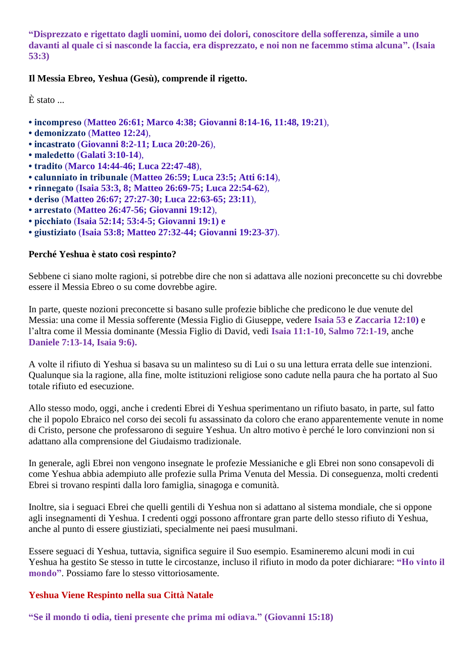**"Disprezzato e rigettato dagli uomini, uomo dei dolori, conoscitore della sofferenza, simile a uno davanti al quale ci si nasconde la faccia, era disprezzato, e noi non ne facemmo stima alcuna". (Isaia 53:3)**

### **Il Messia Ebreo, Yeshua (Gesù), comprende il rigetto.**

È stato ...

- **incompreso** (**Matteo 26:61; Marco 4:38; Giovanni 8:14-16, 11:48, 19:21**),
- **demonizzato** (**Matteo 12:24**),
- **incastrato** (**Giovanni 8:2-11; Luca 20:20-26**),
- **maledetto** (**Galati 3:10-14**),
- **tradito** (**Marco 14:44-46; Luca 22:47-48**),
- **calunniato in tribunale** (**Matteo 26:59; Luca 23:5; Atti 6:14**),
- **rinnegato** (**Isaia 53:3, 8; Matteo 26:69-75; Luca 22:54-62**),
- **deriso** (**Matteo 26:67; 27:27-30; Luca 22:63-65; 23:11**),
- **arrestato** (**Matteo 26:47-56; Giovanni 19:12**),
- **picchiato** (**Isaia 52:14; 53:4-5; Giovanni 19:1) e**
- **giustiziato** (**Isaia 53:8; Matteo 27:32-44; Giovanni 19:23-37**).

### **Perché Yeshua è stato così respinto?**

Sebbene ci siano molte ragioni, si potrebbe dire che non si adattava alle nozioni preconcette su chi dovrebbe essere il Messia Ebreo o su come dovrebbe agire.

In parte, queste nozioni preconcette si basano sulle profezie bibliche che predicono le due venute del Messia: una come il Messia sofferente (Messia Figlio di Giuseppe, vedere **Isaia 53** e **Zaccaria 12:10)** e l'altra come il Messia dominante (Messia Figlio di David, vedi **Isaia 11:1-10**, **Salmo 72:1-19**, anche **Daniele 7:13-14, Isaia 9:6).**

A volte il rifiuto di Yeshua si basava su un malinteso su di Lui o su una lettura errata delle sue intenzioni. Qualunque sia la ragione, alla fine, molte istituzioni religiose sono cadute nella paura che ha portato al Suo totale rifiuto ed esecuzione.

Allo stesso modo, oggi, anche i credenti Ebrei di Yeshua sperimentano un rifiuto basato, in parte, sul fatto che il popolo Ebraico nel corso dei secoli fu assassinato da coloro che erano apparentemente venute in nome di Cristo, persone che professarono di seguire Yeshua. Un altro motivo è perché le loro convinzioni non si adattano alla comprensione del Giudaismo tradizionale.

In generale, agli Ebrei non vengono insegnate le profezie Messianiche e gli Ebrei non sono consapevoli di come Yeshua abbia adempiuto alle profezie sulla Prima Venuta del Messia. Di conseguenza, molti credenti Ebrei si trovano respinti dalla loro famiglia, sinagoga e comunità.

Inoltre, sia i seguaci Ebrei che quelli gentili di Yeshua non si adattano al sistema mondiale, che si oppone agli insegnamenti di Yeshua. I credenti oggi possono affrontare gran parte dello stesso rifiuto di Yeshua, anche al punto di essere giustiziati, specialmente nei paesi musulmani.

Essere seguaci di Yeshua, tuttavia, significa seguire il Suo esempio. Esamineremo alcuni modi in cui Yeshua ha gestito Se stesso in tutte le circostanze, incluso il rifiuto in modo da poter dichiarare: **"Ho vinto il mondo"**. Possiamo fare lo stesso vittoriosamente.

### **Yeshua Viene Respinto nella sua Città Natale**

**"Se il mondo ti odia, tieni presente che prima mi odiava." (Giovanni 15:18)**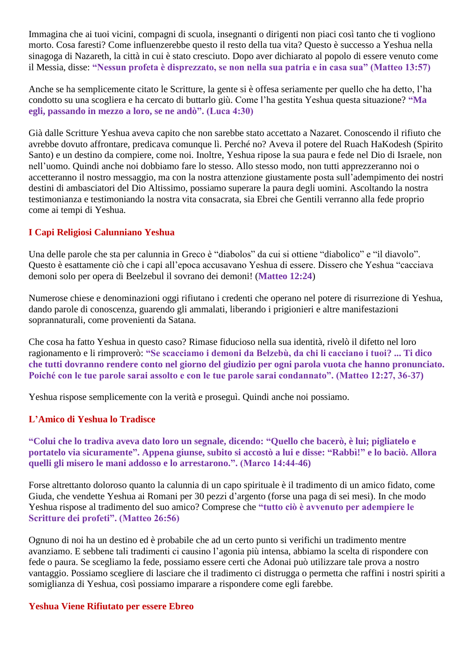Immagina che ai tuoi vicini, compagni di scuola, insegnanti o dirigenti non piaci così tanto che ti vogliono morto. Cosa faresti? Come influenzerebbe questo il resto della tua vita? Questo è successo a Yeshua nella sinagoga di Nazareth, la città in cui è stato cresciuto. Dopo aver dichiarato al popolo di essere venuto come il Messia, disse: **"Nessun profeta è disprezzato, se non nella sua patria e in casa sua" (Matteo 13:57)**

Anche se ha semplicemente citato le Scritture, la gente si è offesa seriamente per quello che ha detto, l'ha condotto su una scogliera e ha cercato di buttarlo giù. Come l'ha gestita Yeshua questa situazione? **"Ma egli, passando in mezzo a loro, se ne andò". (Luca 4:30)**

Già dalle Scritture Yeshua aveva capito che non sarebbe stato accettato a Nazaret. Conoscendo il rifiuto che avrebbe dovuto affrontare, predicava comunque lì. Perché no? Aveva il potere del Ruach HaKodesh (Spirito Santo) e un destino da compiere, come noi. Inoltre, Yeshua ripose la sua paura e fede nel Dio di Israele, non nell'uomo. Quindi anche noi dobbiamo fare lo stesso. Allo stesso modo, non tutti apprezzeranno noi o accetteranno il nostro messaggio, ma con la nostra attenzione giustamente posta sull'adempimento dei nostri destini di ambasciatori del Dio Altissimo, possiamo superare la paura degli uomini. Ascoltando la nostra testimonianza e testimoniando la nostra vita consacrata, sia Ebrei che Gentili verranno alla fede proprio come ai tempi di Yeshua.

## **I Capi Religiosi Calunniano Yeshua**

Una delle parole che sta per calunnia in Greco è "diabolos" da cui si ottiene "diabolico" e "il diavolo". Questo è esattamente ciò che i capi all'epoca accusavano Yeshua di essere. Dissero che Yeshua "cacciava demoni solo per opera di Beelzebul il sovrano dei demoni! (**Matteo 12:24**)

Numerose chiese e denominazioni oggi rifiutano i credenti che operano nel potere di risurrezione di Yeshua, dando parole di conoscenza, guarendo gli ammalati, liberando i prigionieri e altre manifestazioni soprannaturali, come provenienti da Satana.

Che cosa ha fatto Yeshua in questo caso? Rimase fiducioso nella sua identità, rivelò il difetto nel loro ragionamento e li rimproverò: **"Se scacciamo i demoni da Belzebù, da chi li cacciano i tuoi? ... Ti dico che tutti dovranno rendere conto nel giorno del giudizio per ogni parola vuota che hanno pronunciato. Poiché con le tue parole sarai assolto e con le tue parole sarai condannato". (Matteo 12:27, 36-37)**

Yeshua rispose semplicemente con la verità e proseguì. Quindi anche noi possiamo.

### **L'Amico di Yeshua lo Tradisce**

**"Colui che lo tradiva aveva dato loro un segnale, dicendo: "Quello che bacerò, è lui; pigliatelo e portatelo via sicuramente". Appena giunse, subito si accostò a lui e disse: "Rabbì!" e lo baciò. Allora quelli gli misero le mani addosso e lo arrestarono.". (Marco 14:44-46)**

Forse altrettanto doloroso quanto la calunnia di un capo spirituale è il tradimento di un amico fidato, come Giuda, che vendette Yeshua ai Romani per 30 pezzi d'argento (forse una paga di sei mesi). In che modo Yeshua rispose al tradimento del suo amico? Comprese che **"tutto ciò è avvenuto per adempiere le Scritture dei profeti". (Matteo 26:56)**

Ognuno di noi ha un destino ed è probabile che ad un certo punto si verifichi un tradimento mentre avanziamo. E sebbene tali tradimenti ci causino l'agonia più intensa, abbiamo la scelta di rispondere con fede o paura. Se scegliamo la fede, possiamo essere certi che Adonai può utilizzare tale prova a nostro vantaggio. Possiamo scegliere di lasciare che il tradimento ci distrugga o permetta che raffini i nostri spiriti a somiglianza di Yeshua, così possiamo imparare a rispondere come egli farebbe.

### **Yeshua Viene Rifiutato per essere Ebreo**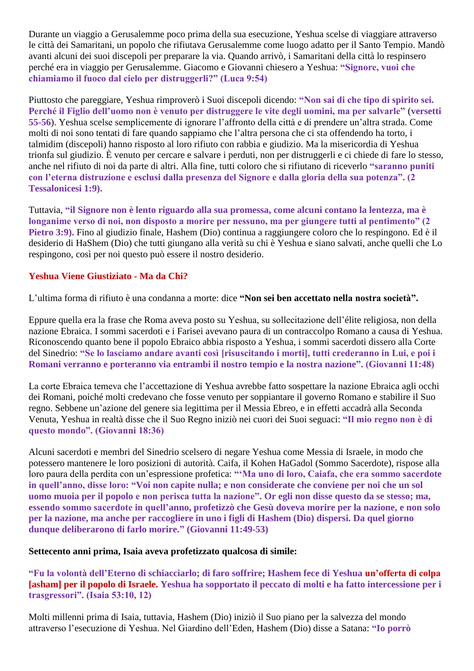Durante un viaggio a Gerusalemme poco prima della sua esecuzione, Yeshua scelse di viaggiare attraverso le città dei Samaritani, un popolo che rifiutava Gerusalemme come luogo adatto per il Santo Tempio. Mandò avanti alcuni dei suoi discepoli per preparare la via. Quando arrivò, i Samaritani della città lo respinsero perché era in viaggio per Gerusalemme. Giacomo e Giovanni chiesero a Yeshua: **"Signore, vuoi che chiamiamo il fuoco dal cielo per distruggerli?" (Luca 9:54)**

Piuttosto che pareggiare, Yeshua rimproverò i Suoi discepoli dicendo: **"Non sai di che tipo di spirito sei. Perché il Figlio dell'uomo non è venuto per distruggere le vite degli uomini, ma per salvarle"** (**versetti 55-56**). Yeshua scelse semplicemente di ignorare l'affronto della città e di prendere un'altra strada. Come molti di noi sono tentati di fare quando sappiamo che l'altra persona che ci sta offendendo ha torto, i talmidim (discepoli) hanno risposto al loro rifiuto con rabbia e giudizio. Ma la misericordia di Yeshua trionfa sul giudizio. È venuto per cercare e salvare i perduti, non per distruggerli e ci chiede di fare lo stesso, anche nel rifiuto di noi da parte di altri. Alla fine, tutti coloro che si rifiutano di riceverlo **"saranno puniti con l'eterna distruzione e esclusi dalla presenza del Signore e dalla gloria della sua potenza". (2 Tessalonicesi 1:9).** 

Tuttavia, **"il Signore non è lento riguardo alla sua promessa, come alcuni contano la lentezza, ma è longanime verso di noi, non disposto a morire per nessuno, ma per giungere tutti al pentimento" (2 Pietro 3:9).** Fino al giudizio finale, Hashem (Dio) continua a raggiungere coloro che lo respingono. Ed è il desiderio di HaShem (Dio) che tutti giungano alla verità su chi è Yeshua e siano salvati, anche quelli che Lo respingono, così per noi questo può essere il nostro desiderio.

### **Yeshua Viene Giustiziato - Ma da Chi?**

L'ultima forma di rifiuto è una condanna a morte: dice **"Non sei ben accettato nella nostra società".**

Eppure quella era la frase che Roma aveva posto su Yeshua, su sollecitazione dell'élite religiosa, non della nazione Ebraica. I sommi sacerdoti e i Farisei avevano paura di un contraccolpo Romano a causa di Yeshua. Riconoscendo quanto bene il popolo Ebraico abbia risposto a Yeshua, i sommi sacerdoti dissero alla Corte del Sinedrio: **"Se lo lasciamo andare avanti così [risuscitando i morti], tutti crederanno in Lui, e poi i Romani verranno e porteranno via entrambi il nostro tempio e la nostra nazione". (Giovanni 11:48)**

La corte Ebraica temeva che l'accettazione di Yeshua avrebbe fatto sospettare la nazione Ebraica agli occhi dei Romani, poiché molti credevano che fosse venuto per soppiantare il governo Romano e stabilire il Suo regno. Sebbene un'azione del genere sia legittima per il Messia Ebreo, e in effetti accadrà alla Seconda Venuta, Yeshua in realtà disse che il Suo Regno iniziò nei cuori dei Suoi seguaci: **"Il mio regno non è di questo mondo". (Giovanni 18:36)**

Alcuni sacerdoti e membri del Sinedrio scelsero di negare Yeshua come Messia di Israele, in modo che potessero mantenere le loro posizioni di autorità. Caifa, il Kohen HaGadol (Sommo Sacerdote), rispose alla loro paura della perdita con un'espressione profetica: **"'Ma uno di loro, Caiafa, che era sommo sacerdote in quell'anno, disse loro: "Voi non capite nulla; e non considerate che conviene per noi che un sol uomo muoia per il popolo e non perisca tutta la nazione". Or egli non disse questo da se stesso; ma, essendo sommo sacerdote in quell'anno, profetizzò che Gesù doveva morire per la nazione, e non solo per la nazione, ma anche per raccogliere in uno i figli di Hashem (Dio) dispersi. Da quel giorno dunque deliberarono di farlo morire." (Giovanni 11:49-53)**

### **Settecento anni prima, Isaia aveva profetizzato qualcosa di simile:**

**"Fu la volontà dell'Eterno di schiacciarlo; di faro soffrire; Hashem fece di Yeshua un'offerta di colpa [asham] per il popolo di Israele. Yeshua ha sopportato il peccato di molti e ha fatto intercessione per i trasgressori". (Isaia 53:10, 12)**

Molti millenni prima di Isaia, tuttavia, Hashem (Dio) iniziò il Suo piano per la salvezza del mondo attraverso l'esecuzione di Yeshua. Nel Giardino dell'Eden, Hashem (Dio) disse a Satana: **"Io porrò**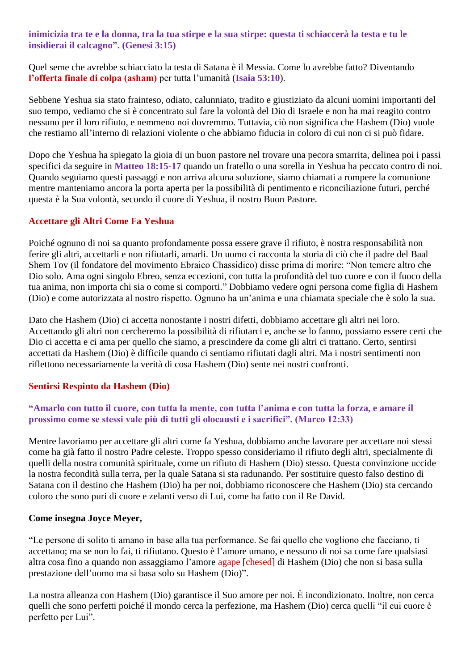**inimicizia tra te e la donna, tra la tua stirpe e la sua stirpe: questa ti schiaccerà la testa e tu le insidierai il calcagno". (Genesi 3:15)**

Quel seme che avrebbe schiacciato la testa di Satana è il Messia. Come lo avrebbe fatto? Diventando **l'offerta finale di colpa (asham)** per tutta l'umanità (**Isaia 53:10**).

Sebbene Yeshua sia stato frainteso, odiato, calunniato, tradito e giustiziato da alcuni uomini importanti del suo tempo, vediamo che si è concentrato sul fare la volontà del Dio di Israele e non ha mai reagito contro nessuno per il loro rifiuto, e nemmeno noi dovremmo. Tuttavia, ciò non significa che Hashem (Dio) vuole che restiamo all'interno di relazioni violente o che abbiamo fiducia in coloro di cui non ci si può fidare.

Dopo che Yeshua ha spiegato la gioia di un buon pastore nel trovare una pecora smarrita, delinea poi i passi specifici da seguire in **Matteo 18:15-17** quando un fratello o una sorella in Yeshua ha peccato contro di noi. Quando seguiamo questi passaggi e non arriva alcuna soluzione, siamo chiamati a rompere la comunione mentre manteniamo ancora la porta aperta per la possibilità di pentimento e riconciliazione futuri, perché questa è la Sua volontà, secondo il cuore di Yeshua, il nostro Buon Pastore.

### **Accettare gli Altri Come Fa Yeshua**

Poiché ognuno di noi sa quanto profondamente possa essere grave il rifiuto, è nostra responsabilità non ferire gli altri, accettarli e non rifiutarli, amarli. Un uomo ci racconta la storia di ciò che il padre del Baal Shem Tov (il fondatore del movimento Ebraico Chassidico) disse prima di morire: "Non temere altro che Dio solo. Ama ogni singolo Ebreo, senza eccezioni, con tutta la profondità del tuo cuore e con il fuoco della tua anima, non importa chi sia o come si comporti." Dobbiamo vedere ogni persona come figlia di Hashem (Dio) e come autorizzata al nostro rispetto. Ognuno ha un'anima e una chiamata speciale che è solo la sua.

Dato che Hashem (Dio) ci accetta nonostante i nostri difetti, dobbiamo accettare gli altri nei loro. Accettando gli altri non cercheremo la possibilità di rifiutarci e, anche se lo fanno, possiamo essere certi che Dio ci accetta e ci ama per quello che siamo, a prescindere da come gli altri ci trattano. Certo, sentirsi accettati da Hashem (Dio) è difficile quando ci sentiamo rifiutati dagli altri. Ma i nostri sentimenti non riflettono necessariamente la verità di cosa Hashem (Dio) sente nei nostri confronti.

### **Sentirsi Respinto da Hashem (Dio)**

### **"Amarlo con tutto il cuore, con tutta la mente, con tutta l'anima e con tutta la forza, e amare il prossimo come se stessi vale più di tutti gli olocausti e i sacrifici". (Marco 12:33)**

Mentre lavoriamo per accettare gli altri come fa Yeshua, dobbiamo anche lavorare per accettare noi stessi come ha già fatto il nostro Padre celeste. Troppo spesso consideriamo il rifiuto degli altri, specialmente di quelli della nostra comunità spirituale, come un rifiuto di Hashem (Dio) stesso. Questa convinzione uccide la nostra fecondità sulla terra, per la quale Satana si sta radunando. Per sostituire questo falso destino di Satana con il destino che Hashem (Dio) ha per noi, dobbiamo riconoscere che Hashem (Dio) sta cercando coloro che sono puri di cuore e zelanti verso di Lui, come ha fatto con il Re David.

### **Come insegna Joyce Meyer,**

"Le persone di solito ti amano in base alla tua performance. Se fai quello che vogliono che facciano, ti accettano; ma se non lo fai, ti rifiutano. Questo è l'amore umano, e nessuno di noi sa come fare qualsiasi altra cosa fino a quando non assaggiamo l'amore agape [chesed] di Hashem (Dio) che non si basa sulla prestazione dell'uomo ma si basa solo su Hashem (Dio)".

La nostra alleanza con Hashem (Dio) garantisce il Suo amore per noi. È incondizionato. Inoltre, non cerca quelli che sono perfetti poiché il mondo cerca la perfezione, ma Hashem (Dio) cerca quelli "il cui cuore è perfetto per Lui".